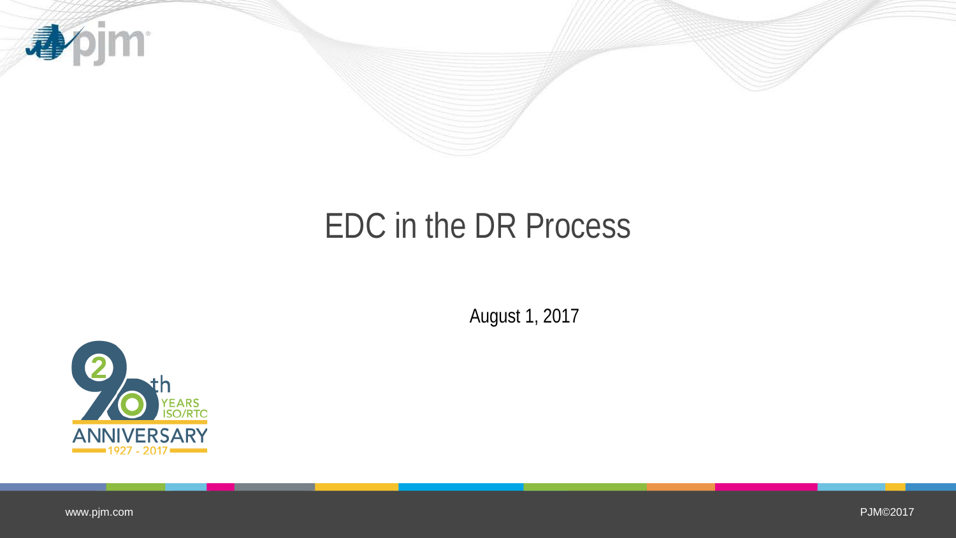



### EDC in the DR Process

August 1, 2017



www.pjm.com

PJM©2017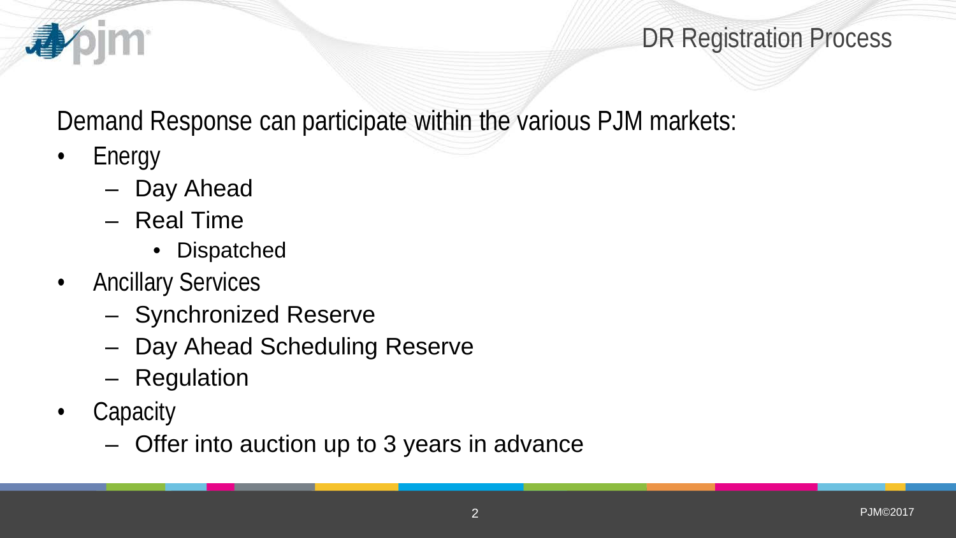

Demand Response can participate within the various PJM markets:

• Energy

**Im** 

- Day Ahead
- Real Time
	- Dispatched
- Ancillary Services
	- Synchronized Reserve
	- Day Ahead Scheduling Reserve
	- Regulation
- Capacity
	- Offer into auction up to 3 years in advance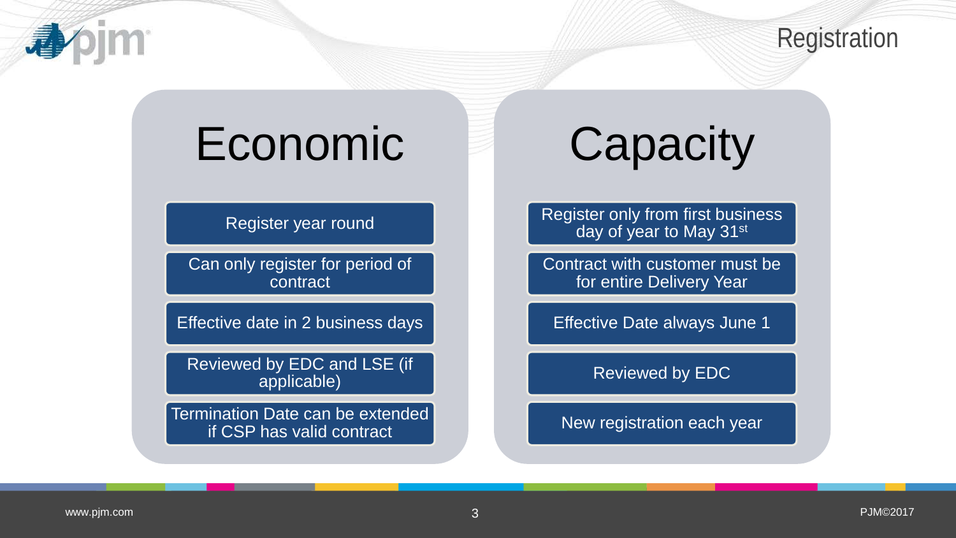

## Economic

Register year round

Can only register for period of contract

Effective date in 2 business days

Reviewed by EDC and LSE (if applicable)

Termination Date can be extended if CSP has valid contract

# **Capacity**

Register only from first business day of year to May 31<sup>st</sup>

Contract with customer must be for entire Delivery Year

Effective Date always June 1

Reviewed by EDC

New registration each year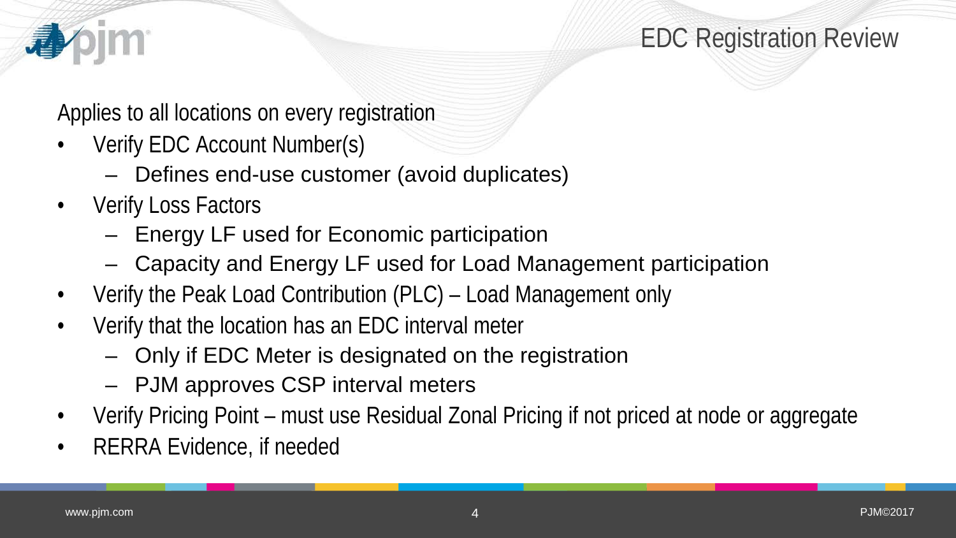

Applies to all locations on every registration

- Verify EDC Account Number(s)
	- Defines end-use customer (avoid duplicates)
- Verify Loss Factors
	- Energy LF used for Economic participation
	- Capacity and Energy LF used for Load Management participation
- Verify the Peak Load Contribution (PLC) Load Management only
- Verify that the location has an EDC interval meter
	- Only if EDC Meter is designated on the registration
	- PJM approves CSP interval meters
- Verify Pricing Point must use Residual Zonal Pricing if not priced at node or aggregate
- RERRA Evidence, if needed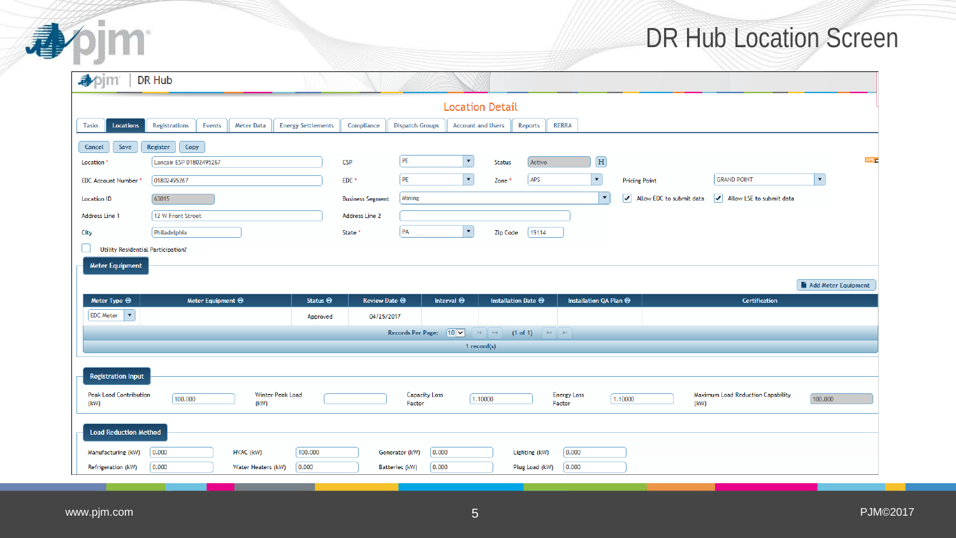#### DR Hub Location Screen

|                                       | <b>DR Hub</b>                                       |                           |                             |                                                    |                                                 |                                         |                                               |                                               |
|---------------------------------------|-----------------------------------------------------|---------------------------|-----------------------------|----------------------------------------------------|-------------------------------------------------|-----------------------------------------|-----------------------------------------------|-----------------------------------------------|
|                                       |                                                     |                           |                             | <b>Location Detail</b>                             |                                                 |                                         |                                               |                                               |
| <b>Locations</b><br><b>Tasks</b>      | <b>Registrations</b><br>Events<br><b>Meter Data</b> | <b>Energy Settlements</b> | Compliance                  | <b>Dispatch Groups</b><br><b>Account and Users</b> | Reports                                         | <b>RERRA</b>                            |                                               |                                               |
| Cancel<br>Save                        | Register<br>Copy                                    |                           |                             |                                                    |                                                 |                                         |                                               |                                               |
| Location                              | Lancair ESP 01802495267                             | <b>CSP</b>                |                             | PE<br>$\blacktriangledown$                         | Active<br><b>Status</b>                         | $\boxed{\textbf{H}}$                    |                                               |                                               |
| <b>EDC Account Number</b>             | 01802495267                                         |                           | EDC <sup>*</sup>            | PE<br>$\blacktriangledown$                         | APS<br>Zone <sup>*</sup>                        | $\blacktriangledown$                    | <b>Pricing Point</b>                          | <b>GRAND POINT</b>                            |
| <b>Location ID</b>                    | 63015                                               |                           | <b>Business Segment</b>     | Mining                                             |                                                 | $\blacktriangledown$                    | $\sqrt{\phantom{a}}$ Allow EDC to submit data | $\sqrt{\phantom{a}}$ Allow LSE to submit data |
| Address Line 1                        | 12 W Front Street                                   |                           | Address Line 2              |                                                    |                                                 |                                         |                                               |                                               |
| City                                  | Philadelphia                                        |                           | State <sup>*</sup>          | $\vert \downarrow \vert$<br>PA                     | 19114<br><b>Zip Code</b>                        |                                         |                                               |                                               |
| Utility Residential Participation?    |                                                     |                           |                             |                                                    |                                                 |                                         |                                               |                                               |
| <b>Meter Equipment</b>                |                                                     |                           |                             |                                                    |                                                 |                                         |                                               |                                               |
|                                       |                                                     |                           |                             |                                                    |                                                 |                                         |                                               | Add Meter Equipment                           |
|                                       |                                                     | Status $\Theta$           | <b>Review Date <b>↔</b></b> | Interval $\Theta$                                  | Installation Date $\Theta$                      | Installation QA Plan @                  |                                               | <b>Certification</b>                          |
| Meter Type $\Theta$                   | Meter Equipment $\Theta$                            |                           |                             |                                                    |                                                 |                                         |                                               |                                               |
| EDC Meter   $\blacktriangledown$      |                                                     | Approved                  | 04/25/2017                  |                                                    |                                                 |                                         |                                               |                                               |
|                                       |                                                     |                           |                             | Records Per Page: $10 \times$                      | $(1 \text{ of } 1)$ $\rightarrow$ $\rightarrow$ |                                         |                                               |                                               |
|                                       |                                                     |                           |                             |                                                    | 1 record(s)                                     |                                         |                                               |                                               |
|                                       |                                                     |                           |                             |                                                    |                                                 |                                         |                                               |                                               |
| <b>Registration Input</b>             |                                                     |                           |                             |                                                    |                                                 |                                         |                                               |                                               |
| <b>Peak Load Contribution</b><br>(kW) | Winter Peak Load<br>100.000<br>(kW)                 |                           |                             | <b>Capacity Loss</b><br>Factor                     | [1.10000]                                       | <b>Energy Loss</b><br>1.10000<br>Factor | (kW)                                          | Maximum Load Reduction Capability<br>100.000  |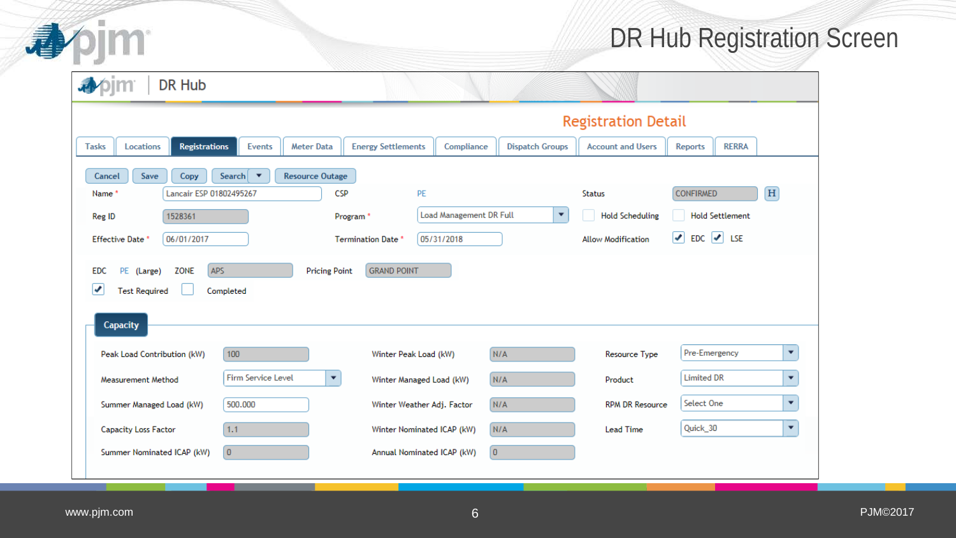

#### DR Hub Registration Screen

| <b>DR Hub</b>                                                                                                            |                                    |                            |                                                        |                        |                                       |                                |                          |  |  |  |  |  |  |  |
|--------------------------------------------------------------------------------------------------------------------------|------------------------------------|----------------------------|--------------------------------------------------------|------------------------|---------------------------------------|--------------------------------|--------------------------|--|--|--|--|--|--|--|
| <b>Registration Detail</b>                                                                                               |                                    |                            |                                                        |                        |                                       |                                |                          |  |  |  |  |  |  |  |
| Locations<br><b>Registrations</b><br><b>Tasks</b>                                                                        | <b>Meter Data</b><br><b>Events</b> | <b>Energy Settlements</b>  | Compliance                                             | <b>Dispatch Groups</b> | <b>Account and Users</b>              | <b>RERRA</b><br><b>Reports</b> |                          |  |  |  |  |  |  |  |
| Save<br>Search $\blacktriangledown$<br>Copy<br><b>Resource Outage</b><br>Cancel                                          |                                    |                            |                                                        |                        |                                       |                                |                          |  |  |  |  |  |  |  |
| Lancair ESP 01802495267<br>Name*                                                                                         |                                    | <b>CSP</b><br>PE           |                                                        |                        | <b>Status</b>                         | <b>CONFIRMED</b>               | $\vert H \vert$          |  |  |  |  |  |  |  |
| Reg ID<br>1528361                                                                                                        |                                    | Program <sup>*</sup>       | <b>Load Management DR Full</b><br>$\blacktriangledown$ |                        |                                       | <b>Hold Settlement</b>         |                          |  |  |  |  |  |  |  |
| Effective Date <sup>*</sup><br>06/01/2017                                                                                |                                    | Termination Date *         | 05/31/2018                                             |                        | <b>Allow Modification</b>             | $\bullet$ EDC $\bullet$ LSE    |                          |  |  |  |  |  |  |  |
| APS<br><b>GRAND POINT</b><br>ZONE<br><b>Pricing Point</b><br>PE (Large)<br>EDC<br>v<br><b>Test Required</b><br>Completed |                                    |                            |                                                        |                        |                                       |                                |                          |  |  |  |  |  |  |  |
| Capacity<br>Peak Load Contribution (kW)                                                                                  | 100                                | Winter Peak Load (kW)      |                                                        | N/A                    | Resource Type                         | Pre-Emergency                  | $\overline{\phantom{a}}$ |  |  |  |  |  |  |  |
| Measurement Method                                                                                                       | Winter Managed Load (kW)           |                            | N/A                                                    | Product                | <b>Limited DR</b>                     | $\overline{\phantom{a}}$       |                          |  |  |  |  |  |  |  |
| Summer Managed Load (kW)                                                                                                 | Winter Weather Adj. Factor         |                            | N/A                                                    | <b>RPM DR Resource</b> | Select One<br>$\overline{\mathbf{v}}$ |                                |                          |  |  |  |  |  |  |  |
| <b>Capacity Loss Factor</b>                                                                                              | Winter Nominated ICAP (kW)         |                            | N/A                                                    | <b>Lead Time</b>       | Quick_30                              | $\overline{\phantom{a}}$       |                          |  |  |  |  |  |  |  |
| Summer Nominated ICAP (kW)                                                                                               | $\overline{0}$                     | Annual Nominated ICAP (kW) | $\overline{0}$                                         |                        |                                       |                                |                          |  |  |  |  |  |  |  |